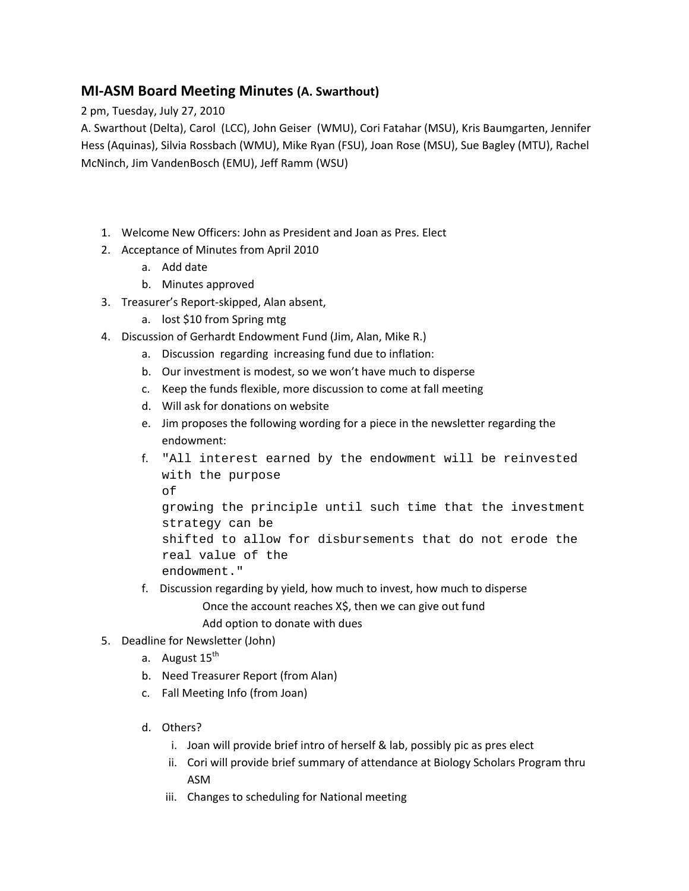## **MI‐ASM Board Meeting Minutes (A. Swarthout)**

2 pm, Tuesday, July 27, 2010

A. Swarthout (Delta), Carol (LCC), John Geiser (WMU), Cori Fatahar (MSU), Kris Baumgarten, Jennifer Hess (Aquinas), Silvia Rossbach (WMU), Mike Ryan (FSU), Joan Rose (MSU), Sue Bagley (MTU), Rachel McNinch, Jim VandenBosch (EMU), Jeff Ramm (WSU)

- 1. Welcome New Officers: John as President and Joan as Pres. Elect
- 2. Acceptance of Minutes from April 2010
	- a. Add date
	- b. Minutes approved
- 3. Treasurer's Report‐skipped, Alan absent,
	- a. lost \$10 from Spring mtg
- 4. Discussion of Gerhardt Endowment Fund (Jim, Alan, Mike R.)
	- a. Discussion regarding increasing fund due to inflation:
	- b. Our investment is modest, so we won't have much to disperse
	- c. Keep the funds flexible, more discussion to come at fall meeting
	- d. Will ask for donations on website
	- e. Jim proposes the following wording for a piece in the newsletter regarding the endowment:
	- f. "All interest earned by the endowment will be reinvested with the purpose of growing the principle until such time that the investment strategy can be shifted to allow for disbursements that do not erode the real value of the endowment."
	- f. Discussion regarding by yield, how much to invest, how much to disperse Once the account reaches X\$, then we can give out fund
		- Add option to donate with dues

## 5. Deadline for Newsletter (John)

- a. August 15<sup>th</sup>
- b. Need Treasurer Report (from Alan)
- c. Fall Meeting Info (from Joan)
- d. Others?
	- i. Joan will provide brief intro of herself & lab, possibly pic as pres elect
	- ii. Cori will provide brief summary of attendance at Biology Scholars Program thru ASM
	- iii. Changes to scheduling for National meeting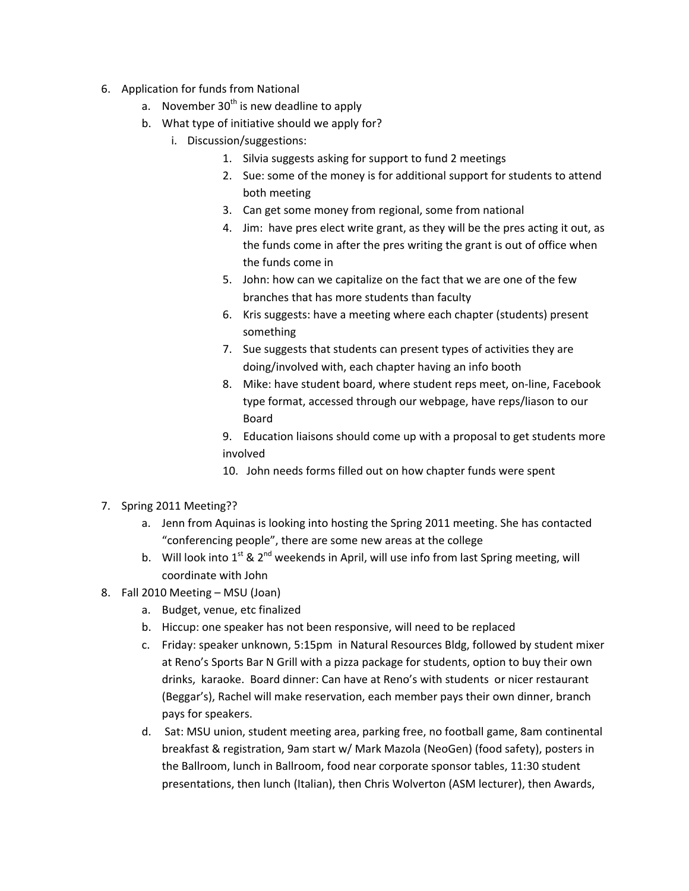- 6. Application for funds from National
	- a. November  $30<sup>th</sup>$  is new deadline to apply
	- b. What type of initiative should we apply for?
		- i. Discussion/suggestions:
			- 1. Silvia suggests asking for support to fund 2 meetings
			- 2. Sue: some of the money is for additional support for students to attend both meeting
			- 3. Can get some money from regional, some from national
			- 4. Jim: have pres elect write grant, as they will be the pres acting it out, as the funds come in after the pres writing the grant is out of office when the funds come in
			- 5. John: how can we capitalize on the fact that we are one of the few branches that has more students than faculty
			- 6. Kris suggests: have a meeting where each chapter (students) present something
			- 7. Sue suggests that students can present types of activities they are doing/involved with, each chapter having an info booth
			- 8. Mike: have student board, where student reps meet, on‐line, Facebook type format, accessed through our webpage, have reps/liason to our Board
			- 9. Education liaisons should come up with a proposal to get students more involved
			- 10. John needs forms filled out on how chapter funds were spent
- 7. Spring 2011 Meeting??
	- a. Jenn from Aquinas is looking into hosting the Spring 2011 meeting. She has contacted "conferencing people", there are some new areas at the college
	- b. Will look into 1<sup>st</sup> & 2<sup>nd</sup> weekends in April, will use info from last Spring meeting, will coordinate with John
- 8. Fall 2010 Meeting MSU (Joan)
	- a. Budget, venue, etc finalized
	- b. Hiccup: one speaker has not been responsive, will need to be replaced
	- c. Friday: speaker unknown, 5:15pm in Natural Resources Bldg, followed by student mixer at Reno's Sports Bar N Grill with a pizza package for students, option to buy their own drinks, karaoke. Board dinner: Can have at Reno's with students or nicer restaurant (Beggar's), Rachel will make reservation, each member pays their own dinner, branch pays for speakers.
	- d. Sat: MSU union, student meeting area, parking free, no football game, 8am continental breakfast & registration, 9am start w/ Mark Mazola (NeoGen) (food safety), posters in the Ballroom, lunch in Ballroom, food near corporate sponsor tables, 11:30 student presentations, then lunch (Italian), then Chris Wolverton (ASM lecturer), then Awards,